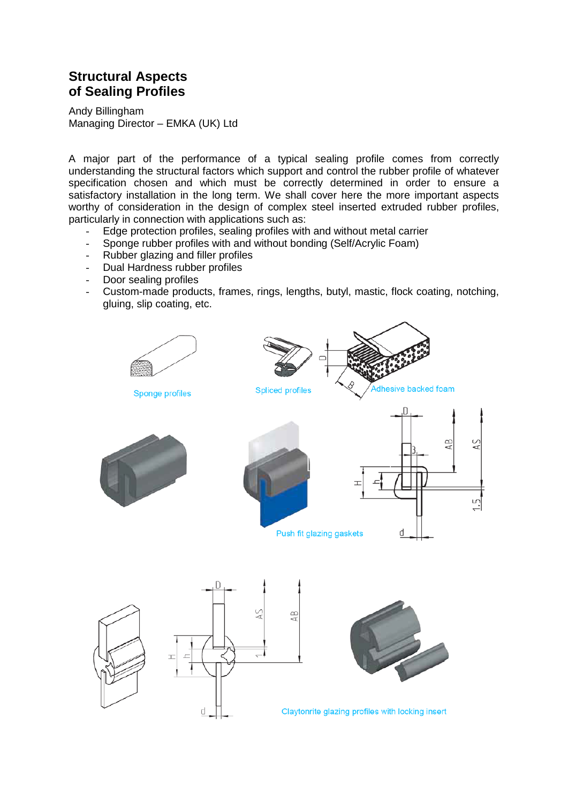## **Structural Aspects of Sealing Profiles**

Andy Billingham Managing Director – EMKA (UK) Ltd

A major part of the performance of a typical sealing profile comes from correctly understanding the structural factors which support and control the rubber profile of whatever specification chosen and which must be correctly determined in order to ensure a satisfactory installation in the long term. We shall cover here the more important aspects worthy of consideration in the design of complex steel inserted extruded rubber profiles, particularly in connection with applications such as:

- Edge protection profiles, sealing profiles with and without metal carrier
- Sponge rubber profiles with and without bonding (Self/Acrylic Foam)<br>- Rubber glazing and filler profiles
- Rubber glazing and filler profiles
- Dual Hardness rubber profiles
- Door sealing profiles
- Custom-made products, frames, rings, lengths, butyl, mastic, flock coating, notching, gluing, slip coating, etc.

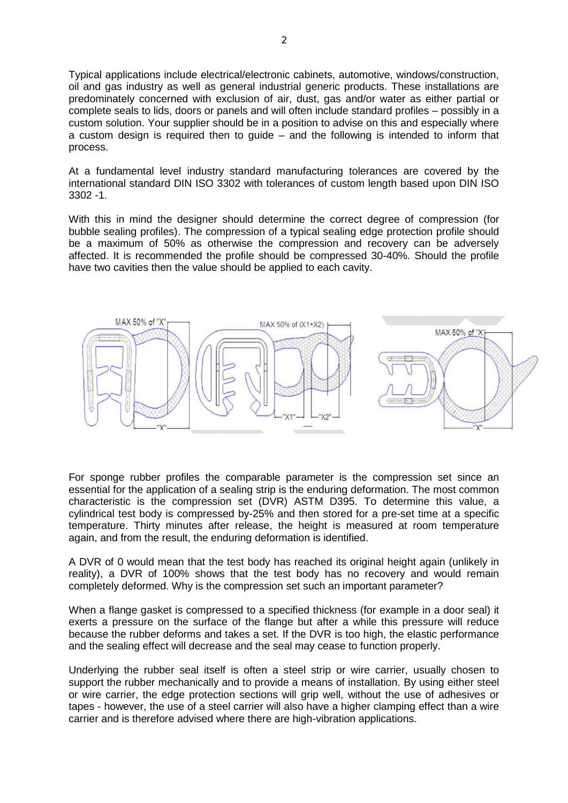Typical applications include electrical/electronic cabinets, automotive, windows/construction, oil and gas industry as well as general industrial generic products. These installations are predominately concerned with exclusion of air, dust, gas and/or water as either partial or complete seals to lids, doors or panels and will often include standard profiles – possibly in a custom solution. Your supplier should be in a position to advise on this and especially where a custom design is required then to guide – and the following is intended to inform that process.

At a fundamental level industry standard manufacturing tolerances are covered by the international standard DIN ISO 3302 with tolerances of custom length based upon DIN ISO 3302 -1.

With this in mind the designer should determine the correct degree of compression (for bubble sealing profiles). The compression of a typical sealing edge protection profile should be a maximum of 50% as otherwise the compression and recovery can be adversely affected. It is recommended the profile should be compressed 30-40%. Should the profile have two cavities then the value should be applied to each cavity.



For sponge rubber profiles the comparable parameter is the compression set since an essential for the application of a sealing strip is the enduring deformation. The most common characteristic is the compression set (DVR) ASTM D395. To determine this value, a cylindrical test body is compressed by-25% and then stored for a pre-set time at a specific temperature. Thirty minutes after release, the height is measured at room temperature again, and from the result, the enduring deformation is identified.

A DVR of 0 would mean that the test body has reached its original height again (unlikely in reality), a DVR of 100% shows that the test body has no recovery and would remain completely deformed. Why is the compression set such an important parameter?

When a flange gasket is compressed to a specified thickness (for example in a door seal) it exerts a pressure on the surface of the flange but after a while this pressure will reduce because the rubber deforms and takes a set. If the DVR is too high, the elastic performance and the sealing effect will decrease and the seal may cease to function properly.

Underlying the rubber seal itself is often a steel strip or wire carrier, usually chosen to support the rubber mechanically and to provide a means of installation. By using either steel or wire carrier, the edge protection sections will grip well, without the use of adhesives or tapes - however, the use of a steel carrier will also have a higher clamping effect than a wire carrier and is therefore advised where there are high-vibration applications.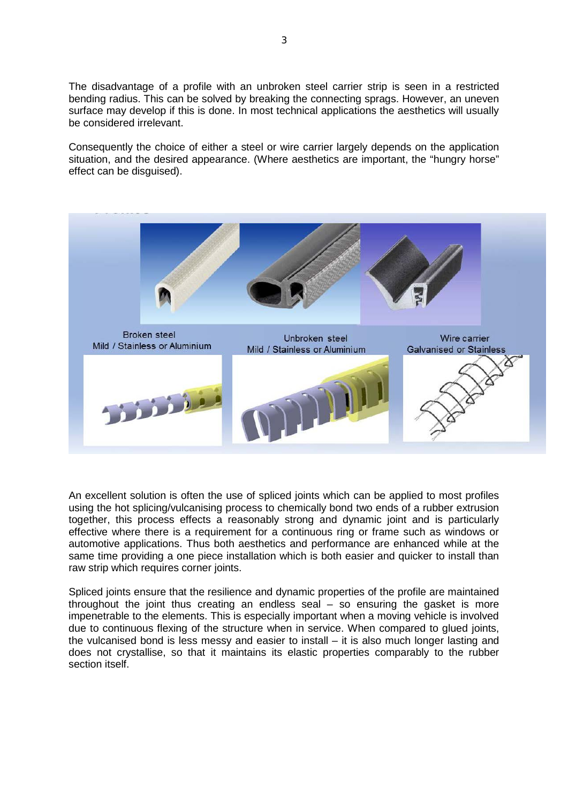The disadvantage of a profile with an unbroken steel carrier strip is seen in a restricted bending radius. This can be solved by breaking the connecting sprags. However, an uneven surface may develop if this is done. In most technical applications the aesthetics will usually be considered irrelevant.

Consequently the choice of either a steel or wire carrier largely depends on the application situation, and the desired appearance. (Where aesthetics are important, the "hungry horse" effect can be disguised).



An excellent solution is often the use of spliced joints which can be applied to most profiles using the hot splicing/vulcanising process to chemically bond two ends of a rubber extrusion together, this process effects a reasonably strong and dynamic joint and is particularly effective where there is a requirement for a continuous ring or frame such as windows or automotive applications. Thus both aesthetics and performance are enhanced while at the same time providing a one piece installation which is both easier and quicker to install than raw strip which requires corner joints.

Spliced joints ensure that the resilience and dynamic properties of the profile are maintained throughout the joint thus creating an endless seal – so ensuring the gasket is more impenetrable to the elements. This is especially important when a moving vehicle is involved due to continuous flexing of the structure when in service. When compared to glued joints, the vulcanised bond is less messy and easier to install – it is also much longer lasting and does not crystallise, so that it maintains its elastic properties comparably to the rubber section itself.